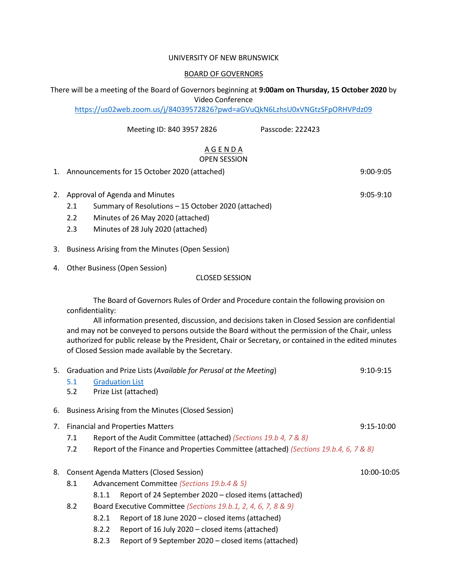#### UNIVERSITY OF NEW BRUNSWICK

#### BOARD OF GOVERNORS

There will be a meeting of the Board of Governors beginning at **9:00am on Thursday, 15 October 2020** by Video Conference

<https://us02web.zoom.us/j/84039572826?pwd=aGVuQkN6LzhsU0xVNGtzSFpORHVPdz09>

Meeting ID: 840 3957 2826 Passcode: 222423

#### A G E N D A OPEN SESSION

1. Announcements for 15 October 2020 (attached) 9:00-9:05

2. Approval of Agenda and Minutes 8:05-9:10

- 2.1 Summary of Resolutions 15 October 2020 (attached)
- 2.2 Minutes of 26 May 2020 (attached)
- 2.3 Minutes of 28 July 2020 (attached)
- 3. Business Arising from the Minutes (Open Session)
- 4. Other Business (Open Session)

## CLOSED SESSION

The Board of Governors Rules of Order and Procedure contain the following provision on confidentiality:

All information presented, discussion, and decisions taken in Closed Session are confidential and may not be conveyed to persons outside the Board without the permission of the Chair, unless authorized for public release by the President, Chair or Secretary, or contained in the edited minutes of Closed Session made available by the Secretary.

| 5. | Graduation and Prize Lists (Available for Perusal at the Meeting)<br>$9:10-9:15$ |                                                                                       |                                                       |  |  |  |  |  |
|----|----------------------------------------------------------------------------------|---------------------------------------------------------------------------------------|-------------------------------------------------------|--|--|--|--|--|
|    | 5.1                                                                              |                                                                                       | <b>Graduation List</b>                                |  |  |  |  |  |
|    | 5.2                                                                              |                                                                                       | Prize List (attached)                                 |  |  |  |  |  |
| 6. |                                                                                  | Business Arising from the Minutes (Closed Session)                                    |                                                       |  |  |  |  |  |
| 7. | <b>Financial and Properties Matters</b><br>$9:15-10:00$                          |                                                                                       |                                                       |  |  |  |  |  |
|    | 7.1                                                                              | Report of the Audit Committee (attached) (Sections 19.b 4, 7 & 8)                     |                                                       |  |  |  |  |  |
|    | 7.2                                                                              | Report of the Finance and Properties Committee (attached) (Sections 19.b.4, 6, 7 & 8) |                                                       |  |  |  |  |  |
| 8. | <b>Consent Agenda Matters (Closed Session)</b><br>10:00-10:05                    |                                                                                       |                                                       |  |  |  |  |  |
|    | 8.1                                                                              | Advancement Committee (Sections 19.b.4 & 5)                                           |                                                       |  |  |  |  |  |
|    |                                                                                  | 8.1.1                                                                                 | Report of 24 September 2020 – closed items (attached) |  |  |  |  |  |
|    | 8.2                                                                              | Board Executive Committee (Sections 19.b.1, 2, 4, 6, 7, 8 & 9)                        |                                                       |  |  |  |  |  |
|    |                                                                                  | 8.2.1                                                                                 | Report of 18 June 2020 – closed items (attached)      |  |  |  |  |  |
|    |                                                                                  | 8.2.2                                                                                 | Report of 16 July 2020 – closed items (attached)      |  |  |  |  |  |

8.2.3 Report of 9 September 2020 – closed items (attached)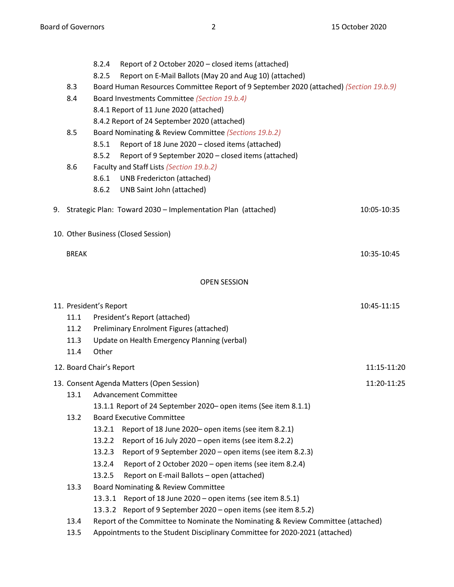|                                     | 8.2.4                                   | Report of 2 October 2020 - closed items (attached)                                     |             |  |  |  |
|-------------------------------------|-----------------------------------------|----------------------------------------------------------------------------------------|-------------|--|--|--|
|                                     | 8.2.5                                   | Report on E-Mail Ballots (May 20 and Aug 10) (attached)                                |             |  |  |  |
| 8.3                                 |                                         | Board Human Resources Committee Report of 9 September 2020 (attached) (Section 19.b.9) |             |  |  |  |
| 8.4                                 |                                         | Board Investments Committee (Section 19.b.4)                                           |             |  |  |  |
|                                     | 8.4.1 Report of 11 June 2020 (attached) |                                                                                        |             |  |  |  |
|                                     |                                         | 8.4.2 Report of 24 September 2020 (attached)                                           |             |  |  |  |
| 8.5                                 |                                         | Board Nominating & Review Committee (Sections 19.b.2)                                  |             |  |  |  |
|                                     | 8.5.1                                   | Report of 18 June 2020 - closed items (attached)                                       |             |  |  |  |
|                                     | 8.5.2                                   | Report of 9 September 2020 - closed items (attached)                                   |             |  |  |  |
| 8.6                                 |                                         | Faculty and Staff Lists (Section 19.b.2)                                               |             |  |  |  |
|                                     | 8.6.1                                   | <b>UNB Fredericton (attached)</b>                                                      |             |  |  |  |
|                                     | 8.6.2                                   | UNB Saint John (attached)                                                              |             |  |  |  |
|                                     |                                         | 9. Strategic Plan: Toward 2030 - Implementation Plan (attached)                        | 10:05-10:35 |  |  |  |
| 10. Other Business (Closed Session) |                                         |                                                                                        |             |  |  |  |
| <b>BREAK</b>                        |                                         |                                                                                        | 10:35-10:45 |  |  |  |
|                                     |                                         | <b>OPEN SESSION</b>                                                                    |             |  |  |  |
| 11. President's Report              |                                         |                                                                                        | 10:45-11:15 |  |  |  |
| 11.1                                |                                         | President's Report (attached)                                                          |             |  |  |  |
| 11.2                                |                                         | Preliminary Enrolment Figures (attached)                                               |             |  |  |  |
| 11.3                                |                                         | Update on Health Emergency Planning (verbal)                                           |             |  |  |  |
| 11.4                                | Other                                   |                                                                                        |             |  |  |  |
| 12. Board Chair's Report            |                                         |                                                                                        | 11:15-11:20 |  |  |  |
|                                     |                                         | 13. Consent Agenda Matters (Open Session)                                              | 11:20-11:25 |  |  |  |
| 13.1                                |                                         | <b>Advancement Committee</b>                                                           |             |  |  |  |
|                                     |                                         | 13.1.1 Report of 24 September 2020 - open items (See item 8.1.1)                       |             |  |  |  |
| 13.2                                |                                         | <b>Board Executive Committee</b>                                                       |             |  |  |  |
|                                     | 13.2.1                                  | Report of 18 June 2020- open items (see item 8.2.1)                                    |             |  |  |  |
|                                     | 13.2.2                                  | Report of 16 July 2020 - open items (see item 8.2.2)                                   |             |  |  |  |
|                                     | 13.2.3                                  | Report of 9 September 2020 - open items (see item 8.2.3)                               |             |  |  |  |
|                                     | 13.2.4                                  | Report of 2 October 2020 – open items (see item 8.2.4)                                 |             |  |  |  |
|                                     | 13.2.5                                  | Report on E-mail Ballots - open (attached)                                             |             |  |  |  |
| 13.3                                |                                         | Board Nominating & Review Committee                                                    |             |  |  |  |
|                                     | 13.3.1                                  | Report of 18 June 2020 – open items (see item 8.5.1)                                   |             |  |  |  |
|                                     | 13.3.2                                  | Report of 9 September 2020 - open items (see item 8.5.2)                               |             |  |  |  |
| 13.4                                |                                         | Report of the Committee to Nominate the Nominating & Review Committee (attached)       |             |  |  |  |
| 13.5                                |                                         | Appointments to the Student Disciplinary Committee for 2020-2021 (attached)            |             |  |  |  |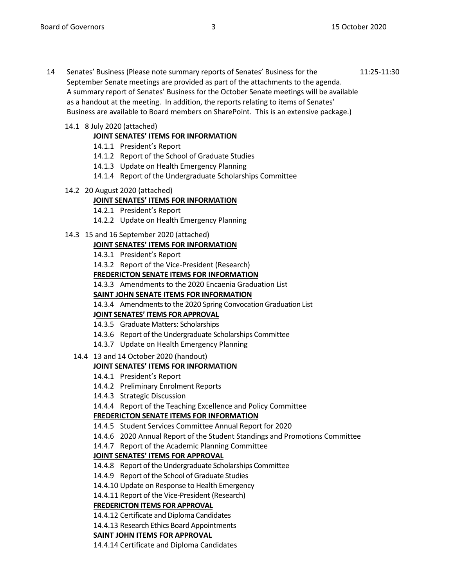14 Senates' Business (Please note summary reports of Senates' Business for the 11:25-11:30 September Senate meetings are provided as part of the attachments to the agenda. A summary report of Senates' Business for the October Senate meetings will be available as a handout at the meeting. In addition, the reports relating to items of Senates' Business are available to Board members on SharePoint. This is an extensive package.)

## 14.1 8 July 2020 (attached)

# **JOINT SENATES' ITEMS FOR INFORMATION**

- 14.1.1 President's Report
- 14.1.2 Report of the School of Graduate Studies
- 14.1.3 Update on Health Emergency Planning
- 14.1.4 Report of the Undergraduate Scholarships Committee

## 14.2 20 August 2020 (attached)

# **JOINT SENATES' ITEMS FOR INFORMATION**

- 14.2.1 President's Report
- 14.2.2 Update on Health Emergency Planning
- 14.3 15 and 16 September 2020 (attached)

# **JOINT SENATES' ITEMS FOR INFORMATION**

- 14.3.1 President's Report
- 14.3.2 Report of the Vice-President (Research)

## **FREDERICTON SENATE ITEMS FOR INFORMATION**

14.3.3 Amendments to the 2020 Encaenia Graduation List

## **SAINT JOHN SENATE ITEMS FOR INFORMATION**

14.3.4 Amendments to the 2020 Spring Convocation Graduation List

## **JOINT SENATES' ITEMS FOR APPROVAL**

- 14.3.5 Graduate Matters: Scholarships
- 14.3.6 Report of the Undergraduate Scholarships Committee
- 14.3.7 Update on Health Emergency Planning
- 14.4 13 and 14 October 2020 (handout)

# **JOINT SENATES' ITEMS FOR INFORMATION**

- 14.4.1 President's Report
- 14.4.2 Preliminary Enrolment Reports
- 14.4.3 Strategic Discussion
- 14.4.4 Report of the Teaching Excellence and Policy Committee

# **FREDERICTON SENATE ITEMS FOR INFORMATION**

- 14.4.5 Student Services Committee Annual Report for 2020
- 14.4.6 2020 Annual Report of the Student Standings and Promotions Committee
- 14.4.7 Report of the Academic Planning Committee

# **JOINT SENATES' ITEMS FOR APPROVAL**

- 14.4.8 Report of the Undergraduate Scholarships Committee
- 14.4.9 Report of the School of Graduate Studies
- 14.4.10 Update on Response to Health Emergency
- 14.4.11 Report of the Vice-President (Research)

# **FREDERICTON ITEMS FOR APPROVAL**

- 14.4.12 Certificate and Diploma Candidates
- 14.4.13 Research Ethics Board Appointments

## **SAINT JOHN ITEMS FOR APPROVAL**

14.4.14 Certificate and Diploma Candidates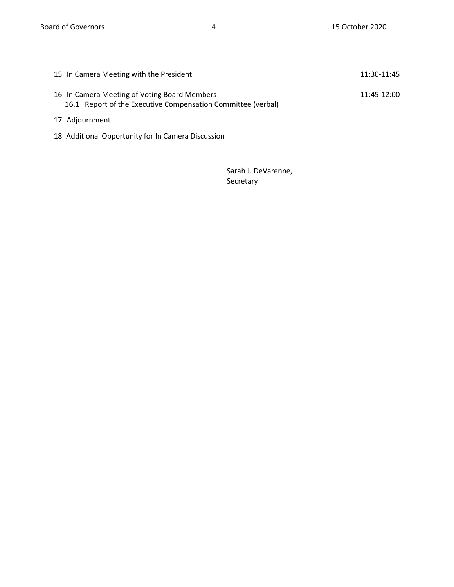| 15 In Camera Meeting with the President                                                                      | 11:30-11:45 |
|--------------------------------------------------------------------------------------------------------------|-------------|
| 16 In Camera Meeting of Voting Board Members<br>16.1 Report of the Executive Compensation Committee (verbal) | 11:45-12:00 |
| 17 Adjournment                                                                                               |             |

18 Additional Opportunity for In Camera Discussion

Sarah J. DeVarenne, Secretary